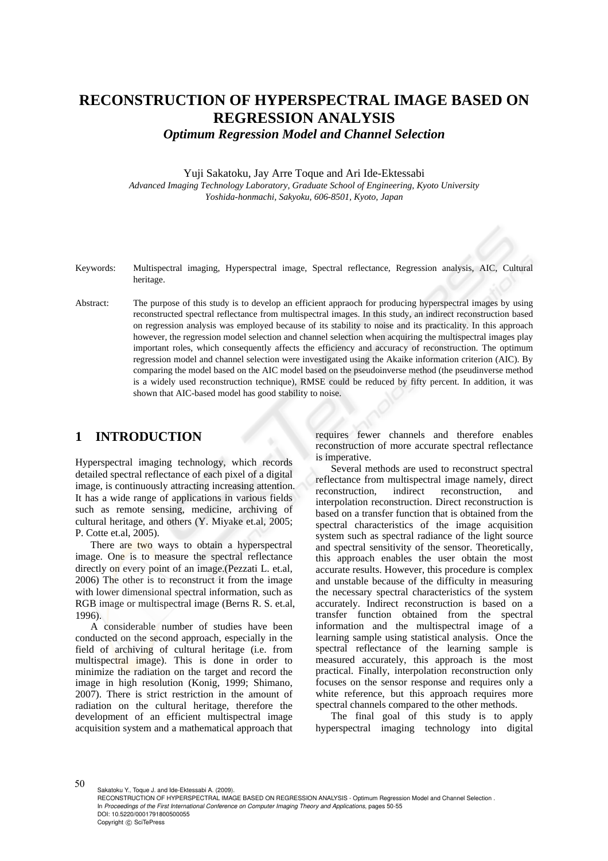# **RECONSTRUCTION OF HYPERSPECTRAL IMAGE BASED ON REGRESSION ANALYSIS**

*Optimum Regression Model and Channel Selection* 

Yuji Sakatoku, Jay Arre Toque and Ari Ide-Ektessabi *Advanced Imaging Technology Laboratory, Graduate School of Engineering, Kyoto University Yoshida-honmachi, Sakyoku, 606-8501, Kyoto, Japan* 

Keywords: Multispectral imaging, Hyperspectral image, Spectral reflectance, Regression analysis, AIC, Cultural heritage.

Abstract: The purpose of this study is to develop an efficient appraoch for producing hyperspectral images by using reconstructed spectral reflectance from multispectral images. In this study, an indirect reconstruction based on regression analysis was employed because of its stability to noise and its practicality. In this approach however, the regression model selection and channel selection when acquiring the multispectral images play important roles, which consequently affects the efficiency and accuracy of reconstruction. The optimum regression model and channel selection were investigated using the Akaike information criterion (AIC). By comparing the model based on the AIC model based on the pseudoinverse method (the pseudinverse method is a widely used reconstruction technique), RMSE could be reduced by fifty percent. In addition, it was shown that AIC-based model has good stability to noise.

# **1 INTRODUCTION**

Hyperspectral imaging technology, which records detailed spectral reflectance of each pixel of a digital image, is continuously attracting increasing attention. It has a wide range of applications in various fields such as remote sensing, medicine, archiving of cultural heritage, and others (Y. Miyake et.al, 2005; P. Cotte et.al, 2005).

There are two ways to obtain a hyperspectral image. One is to measure the spectral reflectance directly on every point of an image.(Pezzati L. et.al, 2006) The other is to reconstruct it from the image with lower dimensional spectral information, such as RGB image or multispectral image (Berns R. S. et.al, 1996).

A considerable number of studies have been conducted on the second approach, especially in the field of archiving of cultural heritage (i.e. from multispectral image). This is done in order to minimize the radiation on the target and record the image in high resolution (Konig, 1999; Shimano, 2007). There is strict restriction in the amount of radiation on the cultural heritage, therefore the development of an efficient multispectral image acquisition system and a mathematical approach that

requires fewer channels and therefore enables reconstruction of more accurate spectral reflectance is imperative.

Several methods are used to reconstruct spectral reflectance from multispectral image namely, direct reconstruction, indirect reconstruction, and interpolation reconstruction. Direct reconstruction is based on a transfer function that is obtained from the spectral characteristics of the image acquisition system such as spectral radiance of the light source and spectral sensitivity of the sensor. Theoretically, this approach enables the user obtain the most accurate results. However, this procedure is complex and unstable because of the difficulty in measuring the necessary spectral characteristics of the system accurately. Indirect reconstruction is based on a transfer function obtained from the spectral information and the multispectral image of a learning sample using statistical analysis. Once the spectral reflectance of the learning sample is measured accurately, this approach is the most practical. Finally, interpolation reconstruction only focuses on the sensor response and requires only a white reference, but this approach requires more spectral channels compared to the other methods.

The final goal of this study is to apply hyperspectral imaging technology into digital

50 Sakatoku Y., Toque J. and Ide-Ektessabi A. (2009).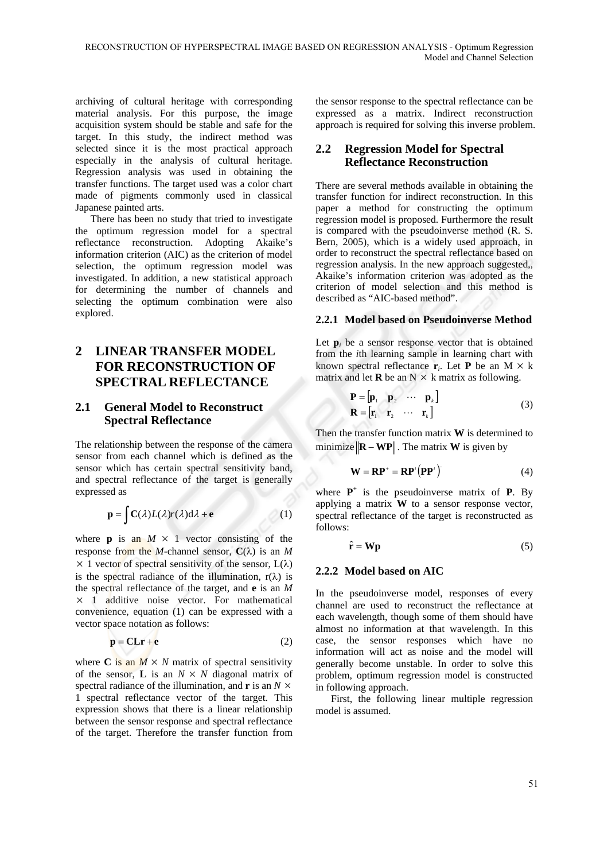archiving of cultural heritage with corresponding material analysis. For this purpose, the image acquisition system should be stable and safe for the target. In this study, the indirect method was selected since it is the most practical approach especially in the analysis of cultural heritage. Regression analysis was used in obtaining the transfer functions. The target used was a color chart made of pigments commonly used in classical Japanese painted arts.

There has been no study that tried to investigate the optimum regression model for a spectral reflectance reconstruction. Adopting Akaike's information criterion (AIC) as the criterion of model selection, the optimum regression model was investigated. In addition, a new statistical approach for determining the number of channels and selecting the optimum combination were also explored.

# **2 LINEAR TRANSFER MODEL FOR RECONSTRUCTION OF SPECTRAL REFLECTANCE**

### **2.1 General Model to Reconstruct Spectral Reflectance**

The relationship between the response of the camera sensor from each channel which is defined as the sensor which has certain spectral sensitivity band, and spectral reflectance of the target is generally expressed as

$$
\mathbf{p} = \int \mathbf{C}(\lambda) L(\lambda) r(\lambda) d\lambda + \mathbf{e}
$$
 (1)

where **p** is an  $M \times 1$  vector consisting of the response from the *M*-channel sensor,  $C(\lambda)$  is an *M*  $\times$  1 vector of spectral sensitivity of the sensor,  $L(\lambda)$ is the spectral radiance of the illumination,  $r(\lambda)$  is the spectral reflectance of the target, and **e** is an *M*  $\times$  1 additive noise vector. For mathematical convenience, equation (1) can be expressed with a vector space notation as follows:

$$
\mathbf{p} = \mathbf{C} \mathbf{L} \mathbf{r} + \mathbf{e}
$$
 (2)

where **C** is an  $M \times N$  matrix of spectral sensitivity of the sensor, **L** is an  $N \times N$  diagonal matrix of spectral radiance of the illumination, and **r** is an *N* × 1 spectral reflectance vector of the target. This expression shows that there is a linear relationship between the sensor response and spectral reflectance of the target. Therefore the transfer function from

the sensor response to the spectral reflectance can be expressed as a matrix. Indirect reconstruction approach is required for solving this inverse problem.

# **2.2 Regression Model for Spectral Reflectance Reconstruction**

There are several methods available in obtaining the transfer function for indirect reconstruction. In this paper a method for constructing the optimum regression model is proposed. Furthermore the result is compared with the pseudoinverse method (R. S. Bern, 2005), which is a widely used approach, in order to reconstruct the spectral reflectance based on regression analysis. In the new approach suggested,, Akaike's information criterion was adopted as the criterion of model selection and this method is described as "AIC-based method".

#### **2.2.1 Model based on Pseudoinverse Method**

Let  $\mathbf{p}_i$  be a sensor response vector that is obtained from the *i*th learning sample in learning chart with known spectral reflectance  $\mathbf{r}_i$ . Let **P** be an M  $\times$  k matrix and let **R** be an  $N \times k$  matrix as following.

$$
\mathbf{P} = \begin{bmatrix} \mathbf{p}_1 & \mathbf{p}_2 & \cdots & \mathbf{p}_k \end{bmatrix}
$$
  

$$
\mathbf{R} = \begin{bmatrix} \mathbf{r}_1 & \mathbf{r}_2 & \cdots & \mathbf{r}_k \end{bmatrix}
$$
 (3)

Then the transfer function matrix **W** is determined to minimize  $\|\mathbf{R} - \mathbf{W}\mathbf{P}\|$ . The matrix **W** is given by

$$
\mathbf{W} = \mathbf{R}\mathbf{P}^* = \mathbf{R}\mathbf{P}' \big(\mathbf{P}\mathbf{P}'\big) \tag{4}
$$

where  $P^+$  is the pseudoinverse matrix of **P**. By applying a matrix **W** to a sensor response vector, spectral reflectance of the target is reconstructed as follows:

$$
\hat{\mathbf{r}} = \mathbf{W}\mathbf{p} \tag{5}
$$

#### **2.2.2 Model based on AIC**

In the pseudoinverse model, responses of every channel are used to reconstruct the reflectance at each wavelength, though some of them should have almost no information at that wavelength. In this case, the sensor responses which have no information will act as noise and the model will generally become unstable. In order to solve this problem, optimum regression model is constructed in following approach.

First, the following linear multiple regression model is assumed.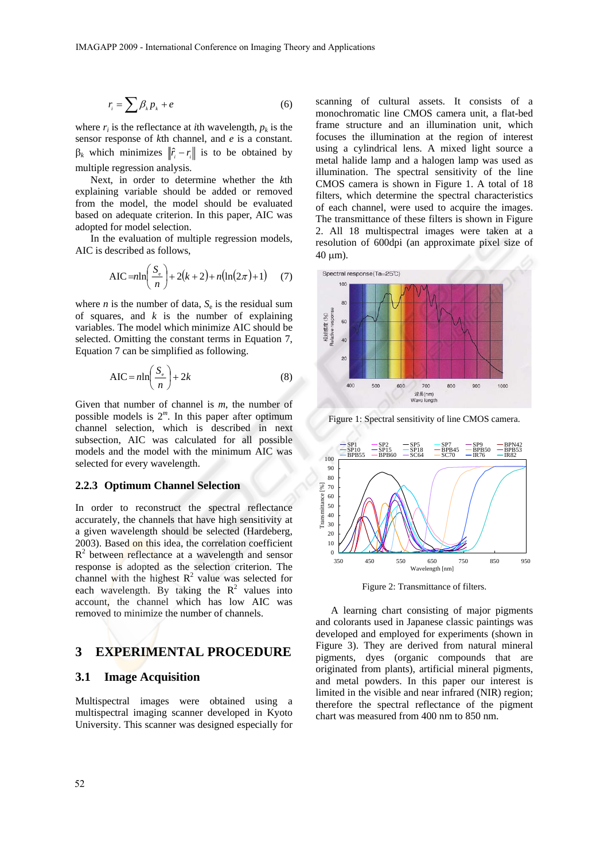$$
r_i = \sum \beta_k p_k + e \tag{6}
$$

where  $r_i$  is the reflectance at *i*th wavelength,  $p_k$  is the sensor response of *k*th channel, and *e* is a constant.  $β_k$  which minimizes  $\|\hat{r}_i - r\|$  is to be obtained by multiple regression analysis.

Next, in order to determine whether the *k*th explaining variable should be added or removed from the model, the model should be evaluated based on adequate criterion. In this paper, AIC was adopted for model selection.

In the evaluation of multiple regression models, AIC is described as follows,

$$
AIC = n \ln \left( \frac{S_e}{n} \right) + 2(k+2) + n(\ln(2\pi) + 1) \tag{7}
$$

where *n* is the number of data,  $S_e$  is the residual sum of squares, and *k* is the number of explaining variables. The model which minimize AIC should be selected. Omitting the constant terms in Equation 7, Equation 7 can be simplified as following.

$$
AIC = n \ln \left( \frac{S_e}{n} \right) + 2k \tag{8}
$$

Given that number of channel is *m*, the number of possible models is 2*<sup>m</sup>*. In this paper after optimum channel selection, which is described in next subsection, AIC was calculated for all possible models and the model with the minimum AIC was selected for every wavelength.

#### **2.2.3 Optimum Channel Selection**

In order to reconstruct the spectral reflectance accurately, the channels that have high sensitivity at a given wavelength should be selected (Hardeberg, 2003). Based on this idea, the correlation coefficient  $R<sup>2</sup>$  between reflectance at a wavelength and sensor response is adopted as the selection criterion. The channel with the highest  $R^2$  value was selected for each wavelength. By taking the  $R^2$  values into account, the channel which has low AIC was removed to minimize the number of channels.

#### **3 EXPERIMENTAL PROCEDURE**

#### **3.1 Image Acquisition**

Multispectral images were obtained using a multispectral imaging scanner developed in Kyoto University. This scanner was designed especially for

scanning of cultural assets. It consists of a monochromatic line CMOS camera unit, a flat-bed frame structure and an illumination unit, which focuses the illumination at the region of interest using a cylindrical lens. A mixed light source a metal halide lamp and a halogen lamp was used as illumination. The spectral sensitivity of the line CMOS camera is shown in Figure 1. A total of 18 filters, which determine the spectral characteristics of each channel, were used to acquire the images. The transmittance of these filters is shown in Figure 2. All 18 multispectral images were taken at a resolution of 600dpi (an approximate pixel size of 40 μm).



Figure 1: Spectral sensitivity of line CMOS camera.



Figure 2: Transmittance of filters.

A learning chart consisting of major pigments and colorants used in Japanese classic paintings was developed and employed for experiments (shown in Figure 3). They are derived from natural mineral pigments, dyes (organic compounds that are originated from plants), artificial mineral pigments, and metal powders. In this paper our interest is limited in the visible and near infrared (NIR) region; therefore the spectral reflectance of the pigment chart was measured from 400 nm to 850 nm.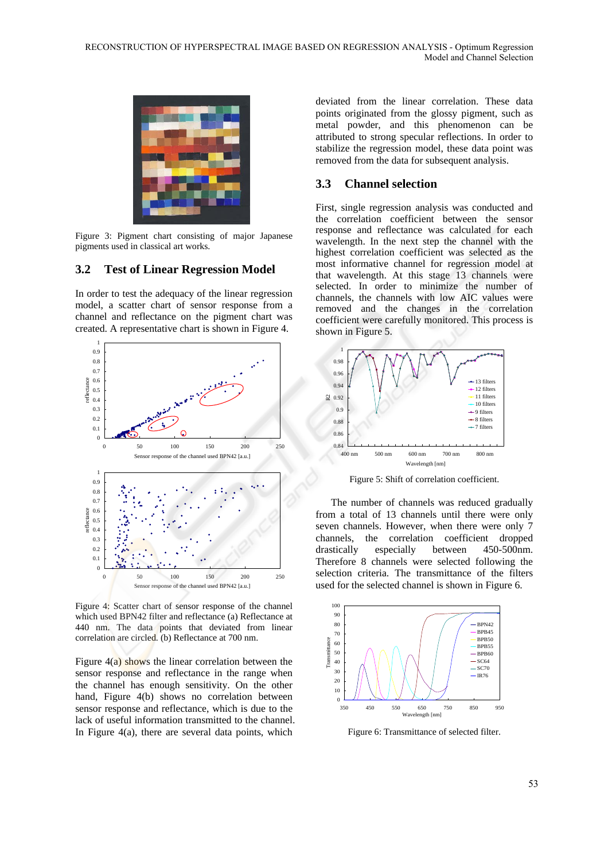

Figure 3: Pigment chart consisting of major Japanese pigments used in classical art works.

#### **3.2 Test of Linear Regression Model**

In order to test the adequacy of the linear regression model, a scatter chart of sensor response from a channel and reflectance on the pigment chart was created. A representative chart is shown in Figure 4.



Figure 4: Scatter chart of sensor response of the channel which used BPN42 filter and reflectance (a) Reflectance at 440 nm. The data points that deviated from linear correlation are circled. (b) Reflectance at 700 nm.

Figure  $4(a)$  shows the linear correlation between the sensor response and reflectance in the range when the channel has enough sensitivity. On the other hand, Figure 4(b) shows no correlation between sensor response and reflectance, which is due to the lack of useful information transmitted to the channel. In Figure  $4(a)$ , there are several data points, which

deviated from the linear correlation. These data points originated from the glossy pigment, such as metal powder, and this phenomenon can be attributed to strong specular reflections. In order to stabilize the regression model, these data point was removed from the data for subsequent analysis.

### **3.3 Channel selection**

First, single regression analysis was conducted and the correlation coefficient between the sensor response and reflectance was calculated for each wavelength. In the next step the channel with the highest correlation coefficient was selected as the most informative channel for regression model at that wavelength. At this stage 13 channels were selected. In order to minimize the number of channels, the channels with low AIC values were removed and the changes in the correlation coefficient were carefully monitored. This process is shown in Figure 5.



Figure 5: Shift of correlation coefficient.

The number of channels was reduced gradually from a total of 13 channels until there were only seven channels. However, when there were only 7 channels, the correlation coefficient dropped drastically especially between 450-500nm. Therefore 8 channels were selected following the selection criteria. The transmittance of the filters used for the selected channel is shown in Figure 6.



Figure 6: Transmittance of selected filter.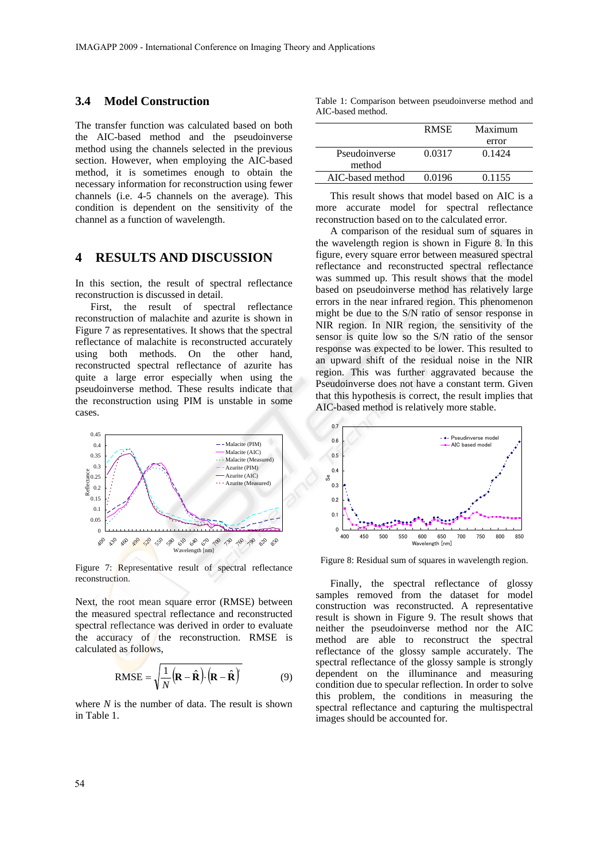#### **3.4 Model Construction**

The transfer function was calculated based on both the AIC-based method and the pseudoinverse method using the channels selected in the previous section. However, when employing the AIC-based method, it is sometimes enough to obtain the necessary information for reconstruction using fewer channels (i.e. 4-5 channels on the average). This condition is dependent on the sensitivity of the channel as a function of wavelength.

### **4 RESULTS AND DISCUSSION**

In this section, the result of spectral reflectance reconstruction is discussed in detail.

First, the result of spectral reflectance reconstruction of malachite and azurite is shown in Figure 7 as representatives. It shows that the spectral reflectance of malachite is reconstructed accurately using both methods. On the other hand, reconstructed spectral reflectance of azurite has quite a large error especially when using the pseudoinverse method. These results indicate that the reconstruction using PIM is unstable in some cases.



Figure 7: Representative result of spectral reflectance reconstruction.

Next, the root mean square error (RMSE) between the measured spectral reflectance and reconstructed spectral reflectance was derived in order to evaluate the accuracy of the reconstruction. RMSE is calculated as follows,

RMSE = 
$$
\sqrt{\frac{1}{N} (\mathbf{R} - \hat{\mathbf{R}}) \cdot (\mathbf{R} - \hat{\mathbf{R}})}
$$
 (9)

where *N* is the number of data. The result is shown in Table 1.

Table 1: Comparison between pseudoinverse method and AIC-based method.

|                  | <b>RMSE</b> | Maximum |
|------------------|-------------|---------|
|                  |             | error   |
| Pseudoinverse    | 0.0317      | 0.1424  |
| method           |             |         |
| AIC-based method | 0.0196      | 0.1155  |

This result shows that model based on AIC is a more accurate model for spectral reflectance reconstruction based on to the calculated error.

A comparison of the residual sum of squares in the wavelength region is shown in Figure 8. In this figure, every square error between measured spectral reflectance and reconstructed spectral reflectance was summed up. This result shows that the model based on pseudoinverse method has relatively large errors in the near infrared region. This phenomenon might be due to the S/N ratio of sensor response in NIR region. In NIR region, the sensitivity of the sensor is quite low so the S/N ratio of the sensor response was expected to be lower. This resulted to an upward shift of the residual noise in the NIR region. This was further aggravated because the Pseudoinverse does not have a constant term. Given that this hypothesis is correct, the result implies that AIC-based method is relatively more stable.



Figure 8: Residual sum of squares in wavelength region.

Finally, the spectral reflectance of glossy samples removed from the dataset for model construction was reconstructed. A representative result is shown in Figure 9. The result shows that neither the pseudoinverse method nor the AIC method are able to reconstruct the spectral reflectance of the glossy sample accurately. The spectral reflectance of the glossy sample is strongly dependent on the illuminance and measuring condition due to specular reflection. In order to solve this problem, the conditions in measuring the spectral reflectance and capturing the multispectral images should be accounted for.